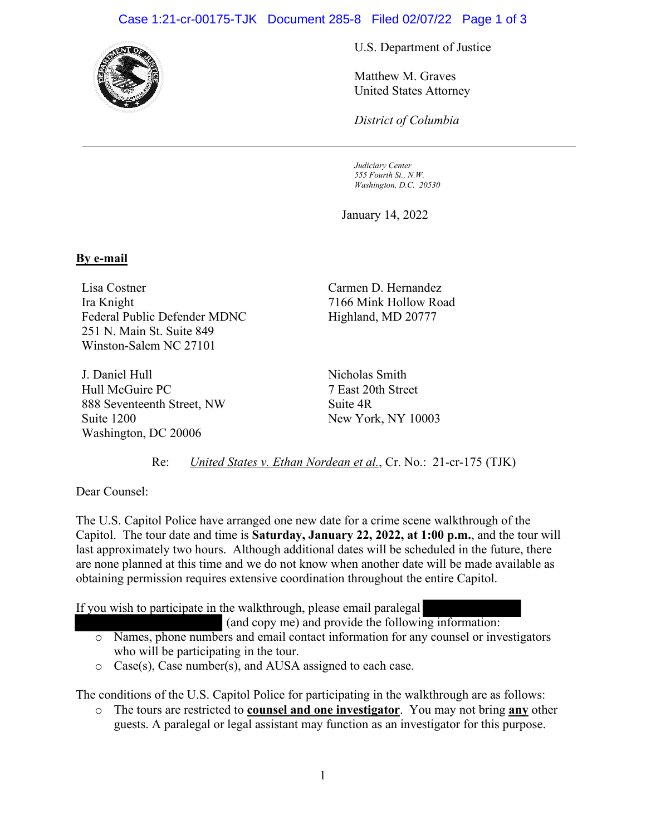## Case 1:21-cr-00175-TJK Document 285-8 Filed 02/07/22 Page 1 of 3



U.S. Department of Justice

Matthew M. Graves United States Attorney

*District of Columbia*

*Judiciary Center 555 Fourth St., N.W. Washington, D.C. 20530*

January 14, 2022

## **By e-mail**

Lisa Costner Ira Knight Federal Public Defender MDNC 251 N. Main St. Suite 849 Winston-Salem NC 27101

J. Daniel Hull Hull McGuire PC 888 Seventeenth Street, NW Suite 1200 Washington, DC 20006

Carmen D. Hernandez 7166 Mink Hollow Road Highland, MD 20777

Nicholas Smith 7 East 20th Street Suite 4R New York, NY 10003

Re: *United States v. Ethan Nordean et al.*, Cr. No.: 21-cr-175 (TJK)

Dear Counsel:

The U.S. Capitol Police have arranged one new date for a crime scene walkthrough of the Capitol. The tour date and time is **Saturday, January 22, 2022, at 1:00 p.m.**, and the tour will last approximately two hours. Although additional dates will be scheduled in the future, there are none planned at this time and we do not know when another date will be made available as obtaining permission requires extensive coordination throughout the entire Capitol.

If you wish to participate in the walkthrough, please email paralegal

(and copy me) and provide the following information:

- o Names, phone numbers and email contact information for any counsel or investigators who will be participating in the tour.
- o Case(s), Case number(s), and AUSA assigned to each case.

The conditions of the U.S. Capitol Police for participating in the walkthrough are as follows:

o The tours are restricted to **counsel and one investigator**. You may not bring **any** other guests. A paralegal or legal assistant may function as an investigator for this purpose.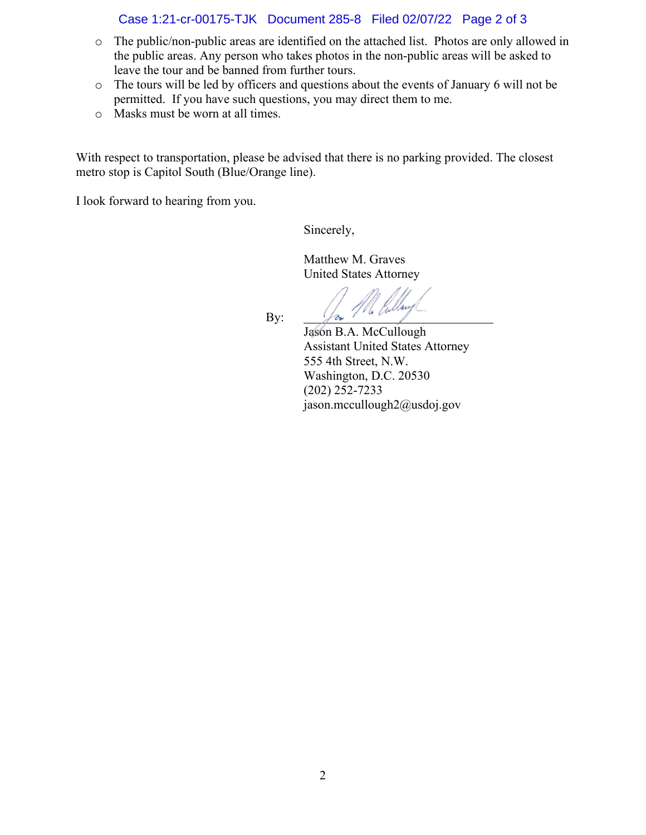## Case 1:21-cr-00175-TJK Document 285-8 Filed 02/07/22 Page 2 of 3

- o The public/non-public areas are identified on the attached list. Photos are only allowed in the public areas. Any person who takes photos in the non-public areas will be asked to leave the tour and be banned from further tours.
- o The tours will be led by officers and questions about the events of January 6 will not be permitted. If you have such questions, you may direct them to me.
- o Masks must be worn at all times.

With respect to transportation, please be advised that there is no parking provided. The closest metro stop is Capitol South (Blue/Orange line).

I look forward to hearing from you.

Sincerely,

Matthew M. Graves United States Attorney

By:

'M

 Jason B.A. McCullough Assistant United States Attorney 555 4th Street, N.W. Washington, D.C. 20530 (202) 252-7233 jason.mccullough2@usdoj.gov